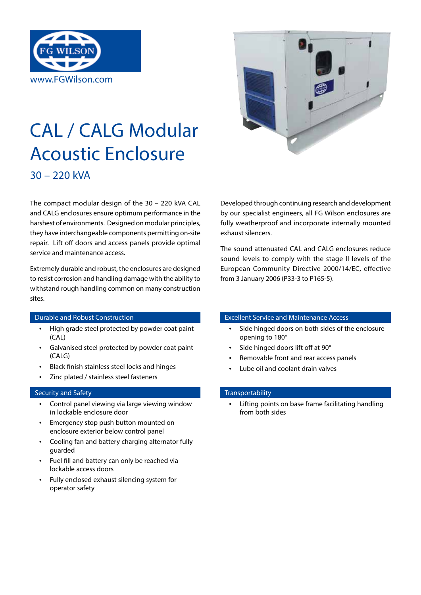

# CAL / CALG Modular Acoustic Enclosure 30 – 220 kVA



The compact modular design of the 30 – 220 kVA CAL and CALG enclosures ensure optimum performance in the harshest of environments. Designed on modular principles, they have interchangeable components permitting on-site repair. Lift off doors and access panels provide optimal service and maintenance access.

Extremely durable and robust, the enclosures are designed to resist corrosion and handling damage with the ability to withstand rough handling common on many construction sites.

- High grade steel protected by powder coat paint (CAL)
- Galvanised steel protected by powder coat paint (CALG)
- Black finish stainless steel locks and hinges
- Zinc plated / stainless steel fasteners

## Security and Safety Transportability Security and Safety

- Control panel viewing via large viewing window in lockable enclosure door
- Emergency stop push button mounted on enclosure exterior below control panel
- Cooling fan and battery charging alternator fully guarded
- Fuel fill and battery can only be reached via lockable access doors
- Fully enclosed exhaust silencing system for operator safety

Developed through continuing research and development by our specialist engineers, all FG Wilson enclosures are fully weatherproof and incorporate internally mounted exhaust silencers.

The sound attenuated CAL and CALG enclosures reduce sound levels to comply with the stage II levels of the European Community Directive 2000/14/EC, effective from 3 January 2006 (P33-3 to P165-5).

## **Durable and Robust Construction Excellent Service and Maintenance Access**

- Side hinged doors on both sides of the enclosure opening to 180°
- Side hinged doors lift off at 90°
- Removable front and rear access panels
- Lube oil and coolant drain valves

Lifting points on base frame facilitating handling from both sides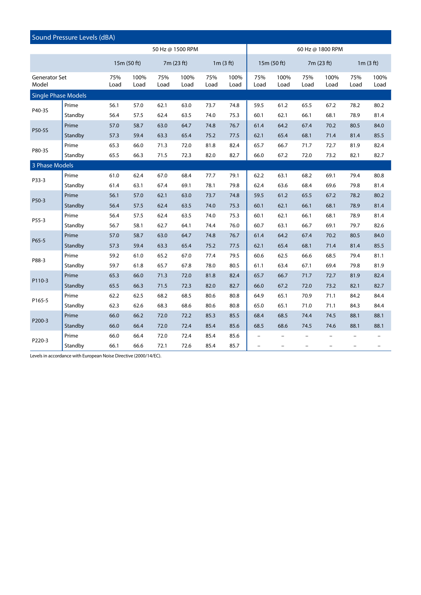| Sound Pressure Levels (dBA) |         |             |              |             |              |             |                  |                          |                          |                          |              |                          |                          |  |
|-----------------------------|---------|-------------|--------------|-------------|--------------|-------------|------------------|--------------------------|--------------------------|--------------------------|--------------|--------------------------|--------------------------|--|
| 50 Hz @ 1500 RPM            |         |             |              |             |              |             | 60 Hz @ 1800 RPM |                          |                          |                          |              |                          |                          |  |
|                             |         |             | 15m (50 ft)  |             | 7m (23 ft)   |             | 1m(3 ft)         |                          | 15m (50 ft)              |                          | 7m (23 ft)   |                          | 1m(3 ft)                 |  |
| Generator Set<br>Model      |         | 75%<br>Load | 100%<br>Load | 75%<br>Load | 100%<br>Load | 75%<br>Load | 100%<br>Load     | 75%<br>Load              | 100%<br>Load             | 75%<br>Load              | 100%<br>Load | 75%<br>Load              | 100%<br>Load             |  |
| <b>Single Phase Models</b>  |         |             |              |             |              |             |                  |                          |                          |                          |              |                          |                          |  |
| P40-3S                      | Prime   | 56.1        | 57.0         | 62.1        | 63.0         | 73.7        | 74.8             | 59.5                     | 61.2                     | 65.5                     | 67.2         | 78.2                     | 80.2                     |  |
|                             | Standby | 56.4        | 57.5         | 62.4        | 63.5         | 74.0        | 75.3             | 60.1                     | 62.1                     | 66.1                     | 68.1         | 78.9                     | 81.4                     |  |
| P50-5S                      | Prime   | 57.0        | 58.7         | 63.0        | 64.7         | 74.8        | 76.7             | 61.4                     | 64.2                     | 67.4                     | 70.2         | 80.5                     | 84.0                     |  |
|                             | Standby | 57.3        | 59.4         | 63.3        | 65.4         | 75.2        | 77.5             | 62.1                     | 65.4                     | 68.1                     | 71.4         | 81.4                     | 85.5                     |  |
| P80-3S                      | Prime   | 65.3        | 66.0         | 71.3        | 72.0         | 81.8        | 82.4             | 65.7                     | 66.7                     | 71.7                     | 72.7         | 81.9                     | 82.4                     |  |
|                             | Standby | 65.5        | 66.3         | 71.5        | 72.3         | 82.0        | 82.7             | 66.0                     | 67.2                     | 72.0                     | 73.2         | 82.1                     | 82.7                     |  |
| 3 Phase Models              |         |             |              |             |              |             |                  |                          |                          |                          |              |                          |                          |  |
| P33-3                       | Prime   | 61.0        | 62.4         | 67.0        | 68.4         | 77.7        | 79.1             | 62.2                     | 63.1                     | 68.2                     | 69.1         | 79.4                     | 80.8                     |  |
|                             | Standby | 61.4        | 63.1         | 67.4        | 69.1         | 78.1        | 79.8             | 62.4                     | 63.6                     | 68.4                     | 69.6         | 79.8                     | 81.4                     |  |
| P50-3                       | Prime   | 56.1        | 57.0         | 62.1        | 63.0         | 73.7        | 74.8             | 59.5                     | 61.2                     | 65.5                     | 67.2         | 78.2                     | 80.2                     |  |
|                             | Standby | 56.4        | 57.5         | 62.4        | 63.5         | 74.0        | 75.3             | 60.1                     | 62.1                     | 66.1                     | 68.1         | 78.9                     | 81.4                     |  |
| P55-3                       | Prime   | 56.4        | 57.5         | 62.4        | 63.5         | 74.0        | 75.3             | 60.1                     | 62.1                     | 66.1                     | 68.1         | 78.9                     | 81.4                     |  |
|                             | Standby | 56.7        | 58.1         | 62.7        | 64.1         | 74.4        | 76.0             | 60.7                     | 63.1                     | 66.7                     | 69.1         | 79.7                     | 82.6                     |  |
| P65-5                       | Prime   | 57.0        | 58.7         | 63.0        | 64.7         | 74.8        | 76.7             | 61.4                     | 64.2                     | 67.4                     | 70.2         | 80.5                     | 84.0                     |  |
|                             | Standby | 57.3        | 59.4         | 63.3        | 65.4         | 75.2        | 77.5             | 62.1                     | 65.4                     | 68.1                     | 71.4         | 81.4                     | 85.5                     |  |
| P88-3                       | Prime   | 59.2        | 61.0         | 65.2        | 67.0         | 77.4        | 79.5             | 60.6                     | 62.5                     | 66.6                     | 68.5         | 79.4                     | 81.1                     |  |
|                             | Standby | 59.7        | 61.8         | 65.7        | 67.8         | 78.0        | 80.5             | 61.1                     | 63.4                     | 67.1                     | 69.4         | 79.8                     | 81.9                     |  |
| P110-3                      | Prime   | 65.3        | 66.0         | 71.3        | 72.0         | 81.8        | 82.4             | 65.7                     | 66.7                     | 71.7                     | 72.7         | 81.9                     | 82.4                     |  |
|                             | Standby | 65.5        | 66.3         | 71.5        | 72.3         | 82.0        | 82.7             | 66.0                     | 67.2                     | 72.0                     | 73.2         | 82.1                     | 82.7                     |  |
| P165-5                      | Prime   | 62.2        | 62.5         | 68.2        | 68.5         | 80.6        | 80.8             | 64.9                     | 65.1                     | 70.9                     | 71.1         | 84.2                     | 84.4                     |  |
|                             | Standby | 62.3        | 62.6         | 68.3        | 68.6         | 80.6        | 80.8             | 65.0                     | 65.1                     | 71.0                     | 71.1         | 84.3                     | 84.4                     |  |
| P200-3                      | Prime   | 66.0        | 66.2         | 72.0        | 72.2         | 85.3        | 85.5             | 68.4                     | 68.5                     | 74.4                     | 74.5         | 88.1                     | 88.1                     |  |
|                             | Standby | 66.0        | 66.4         | 72.0        | 72.4         | 85.4        | 85.6             | 68.5                     | 68.6                     | 74.5                     | 74.6         | 88.1                     | 88.1                     |  |
| P220-3                      | Prime   | 66.0        | 66.4         | 72.0        | 72.4         | 85.4        | 85.6             | $\overline{\phantom{0}}$ |                          | $\overline{\phantom{a}}$ |              | $\overline{\phantom{0}}$ |                          |  |
|                             | Standby | 66.1        | 66.6         | 72.1        | 72.6         | 85.4        | 85.7             | $\qquad \qquad -$        | $\overline{\phantom{0}}$ | $\overline{\phantom{a}}$ | $\equiv$     | $\overline{\phantom{a}}$ | $\overline{\phantom{0}}$ |  |

Levels in accordance with European Noise Directive (2000/14/EC).